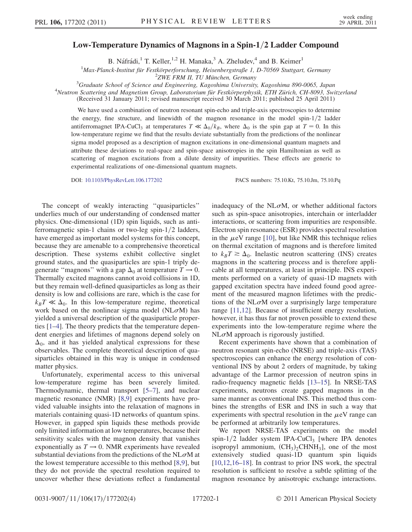## Low-Temperature Dynamics of Magnons in a Spin-1/2 Ladder Compound

B. Náfrádi,<sup>1</sup> T. Keller,<sup>1,2</sup> H. Manaka,<sup>3</sup> A. Zheludev,<sup>4</sup> and B. Keimer<sup>1</sup>

<sup>1</sup>Max-Planck-Institut für Festkörperforschung, Heisenbergstraße 1, D-70569 Stuttgart, Germany<br><sup>2</sup>ZWE EPM IL TU Münchan, Germany

 $^{2}$ ZWE FRM II, TU München, Germany<sup>3</sup> Craduate School of Science and Engineering, Kanoshima University

<sup>5</sup>Graduate School of Science and Engineering, Kagoshima University, Kagoshima 890-0065, Japan<br><sup>4</sup>Neutron Scattering and Magnetism Group, Laboratorium für Eestkörnerphysik. ETH Zürich, CH 8003, Syvi

<sup>4</sup>Neutron Scattering and Magnetism Group, Laboratorium für Festkörperphysik, ETH Zürich, CH-8093, Switzerland

(Received 31 January 2011; revised manuscript received 30 March 2011; published 25 April 2011)

We have used a combination of neutron resonant spin-echo and triple-axis spectroscopies to determine the energy, fine structure, and linewidth of the magnon resonance in the model spin- $1/2$  ladder antiferromagnet IPA-CuCl<sub>3</sub> at temperatures  $T \ll \Delta_0/k_B$ , where  $\Delta_0$  is the spin gap at  $T = 0$ . In this low-temperature regime we find that the results deviate substantially from the predictions of the nonlinear sigma model proposed as a description of magnon excitations in one-dimensional quantum magnets and attribute these deviations to real-space and spin-space anisotropies in the spin Hamiltonian as well as scattering of magnon excitations from a dilute density of impurities. These effects are generic to experimental realizations of one-dimensional quantum magnets.

DOI: [10.1103/PhysRevLett.106.177202](http://dx.doi.org/10.1103/PhysRevLett.106.177202) PACS numbers: 75.10.Kt, 75.10.Jm, 75.10.Pq

The concept of weakly interacting ''quasiparticles'' underlies much of our understanding of condensed matter physics. One-dimensional (1D) spin liquids, such as antiferromagnetic spin-1 chains or two-leg spin- $1/2$  ladders, have emerged as important model systems for this concept, because they are amenable to a comprehensive theoretical description. These systems exhibit collective singlet ground states, and the quasiparticles are spin-1 triply degenerate "magnons" with a gap  $\Delta_0$  at temperature  $T \to 0$ . Thermally excited magnons cannot avoid collisions in 1D, but they remain well-defined quasiparticles as long as their density is low and collisions are rare, which is the case for  $k_BT \ll \Delta_0$ . In this low-temperature regime, theoretical work based on the nonlinear sigma model (NL $\sigma$ M) has yielded a universal description of the quasiparticle properties [[1](#page-3-0)[–4](#page-3-1)]. The theory predicts that the temperature dependent energies and lifetimes of magnons depend solely on  $\Delta_0$ , and it has yielded analytical expressions for these observables. The complete theoretical description of quasiparticles obtained in this way is unique in condensed matter physics.

Unfortunately, experimental access to this universal low-temperature regime has been severely limited. Thermodynamic, thermal transport [\[5](#page-3-2)–[7\]](#page-3-3), and nuclear magnetic resonance (NMR) [\[8,](#page-3-4)[9\]](#page-3-5) experiments have provided valuable insights into the relaxation of magnons in materials containing quasi-1D networks of quantum spins. However, in gapped spin liquids these methods provide only limited information at low temperatures, because their sensitivity scales with the magnon density that vanishes exponentially as  $T \rightarrow 0$ . NMR experiments have revealed substantial deviations from the predictions of the NL $\sigma$ M at the lowest temperature accessible to this method [[8](#page-3-4),[9\]](#page-3-5), but they do not provide the spectral resolution required to uncover whether these deviations reflect a fundamental inadequacy of the NL $\sigma$ M, or whether additional factors such as spin-space anisotropies, interchain or interladder interactions, or scattering from impurities are responsible. Electron spin resonance (ESR) provides spectral resolution in the  $\mu$ eV range [[10](#page-3-6)], but like NMR this technique relies<br>on thermal excitation of magnons and is therefore limited on thermal excitation of magnons and is therefore limited to  $k_BT \geq \Delta_0$ . Inelastic neutron scattering (INS) creates magnons in the scattering process and is therefore applicable at all temperatures, at least in principle. INS experiments performed on a variety of quasi-1D magnets with gapped excitation spectra have indeed found good agreement of the measured magnon lifetimes with the predictions of the NL $\sigma$ M over a surprisingly large temperature range [[11](#page-3-7),[12](#page-3-8)]. Because of insufficient energy resolution, however, it has thus far not proven possible to extend these experiments into the low-temperature regime where the  $N<sub>L</sub> \sigma M$  approach is rigorously justified.

Recent experiments have shown that a combination of neutron resonant spin-echo (NRSE) and triple-axis (TAS) spectroscopies can enhance the energy resolution of conventional INS by about 2 orders of magnitude, by taking advantage of the Larmor precession of neutron spins in radio-frequency magnetic fields [[13](#page-3-9)[–15\]](#page-3-10). In NRSE-TAS experiments, neutrons create gapped magnons in the same manner as conventional INS. This method thus combines the strengths of ESR and INS in such a way that experiments with spectral resolution in the  $\mu$ eV range can<br>be performed at arbitrarily low temperatures be performed at arbitrarily low temperatures.

We report NRSE-TAS experiments on the model spin- $1/2$  ladder system IPA-CuCl<sub>3</sub> [where IPA denotes isopropyl ammonium,  $(CH_3)$ <sub>2</sub>CHNH<sub>3</sub>], one of the most extensively studied quasi-1D quantum spin liquids [\[10](#page-3-6)[,12,](#page-3-8)[16](#page-3-11)[–18\]](#page-3-12). In contrast to prior INS work, the spectral resolution is sufficient to resolve a subtle splitting of the magnon resonance by anisotropic exchange interactions.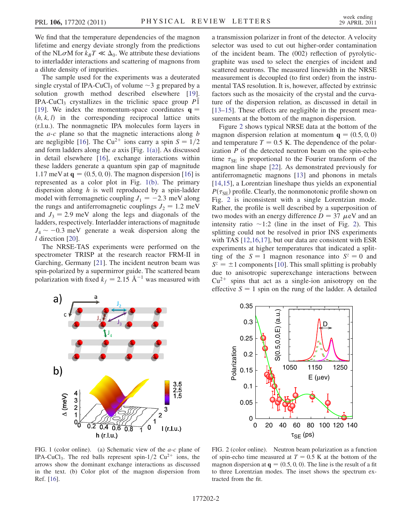We find that the temperature dependencies of the magnon lifetime and energy deviate strongly from the predictions of the NL $\sigma$ M for  $k_BT \ll \Delta_0$ . We attribute these deviations to interladder interactions and scattering of magnons from a dilute density of impurities.

The sample used for the experiments was a deuterated single crystal of IPA-CuCl<sub>3</sub> of volume  $\sim$  3 g prepared by a solution growth method described elsewhere [19] solution growth method described elsewhere [\[19\]](#page-3-13). IPA-CuCl<sub>3</sub> crystallizes in the triclinic space group  $\overline{PI}$ -<br>[19] We index the momentum-space coordinates  $\mathbf{a} =$ [\[19\]](#page-3-13). We index the momentum-space coordinates  $q =$  $(h, k, l)$  in the corresponding reciprocal lattice units (r.l.u.). The nonmagnetic IPA molecules form layers in the  $a-c$  plane so that the magnetic interactions along  $b$ are negligible [[16](#page-3-11)]. The Cu<sup>2+</sup> ions carry a spin  $S = 1/2$ and form ladders along the  $a$  axis [Fig. [1\(a\)](#page-1-0)]. As discussed in detail elsewhere [[16](#page-3-11)], exchange interactions within these ladders generate a quantum spin gap of magnitude 1.17 meV at  $q = (0.5, 0, 0)$ . The magnon dispersion [[16](#page-3-11)] is represented as a color plot in Fig. [1\(b\).](#page-1-0) The primary dispersion along  $h$  is well reproduced by a spin-ladder model with ferromagnetic coupling  $J_1 = -2.3$  meV along the rungs and antiferromagnetic couplings  $J_2 = 1.2$  meV and  $J_3 = 2.9$  meV along the legs and diagonals of the ladders, respectively. Interladder interactions of magnitude  $J_4 \sim -0.3$  meV generate a weak dispersion along the *l* direction [20] l direction [\[20\]](#page-3-14).

The NRSE-TAS experiments were performed on the spectrometer TRISP at the research reactor FRM-II in Garching, Germany [[21](#page-3-15)]. The incident neutron beam was spin-polarized by a supermirror guide. The scattered beam polarization with fixed  $k_f = 2.15 \text{ Å}^{-1}$  was measured with a transmission polarizer in front of the detector. A velocity selector was used to cut out higher-order contamination of the incident beam. The (002) reflection of pyrolyticgraphite was used to select the energies of incident and scattered neutrons. The measured linewidth in the NRSE measurement is decoupled (to first order) from the instrumental TAS resolution. It is, however, affected by extrinsic factors such as the mosaicity of the crystal and the curvature of the dispersion relation, as discussed in detail in [\[13–](#page-3-9)[15\]](#page-3-10). These effects are negligible in the present measurements at the bottom of the magnon dispersion.

Figure [2](#page-1-1) shows typical NRSE data at the bottom of the magnon dispersion relation at momentum  $q = (0.5, 0, 0)$ and temperature  $T = 0.5$  K. The dependence of the polarization  $P$  of the detected neutron beam on the spin-echo time  $\tau_{SE}$  is proportional to the Fourier transform of the magnon line shape [[22](#page-3-16)]. As demonstrated previously for antiferromagnetic magnons [[13](#page-3-9)] and phonons in metals [\[14](#page-3-17)[,15\]](#page-3-10), a Lorentzian lineshape thus yields an exponential  $P(\tau_{\text{SE}})$  profile. Clearly, the nonmonotonic profile shown on Fig. [2](#page-1-1) is inconsistent with a single Lorentzian mode. Rather, the profile is well described by a superposition of two modes with an energy difference  $D = 37 \mu eV$  and an intensity ratio  $\sim 1.2$  (line in the inset of Fig. 2). This intensity ratio  $\sim$ 1:[2](#page-1-1) (line in the inset of Fig. 2). This splitting could not be resolved in prior INS experiments splitting could not be resolved in prior INS experiments with TAS [\[12](#page-3-8)[,16](#page-3-11)[,17\]](#page-3-18), but our data are consistent with ESR experiments at higher temperatures that indicated a splitting of the  $S = 1$  magnon resonance into  $S^z = 0$  and  $S^z = \pm 1$  components [[10](#page-3-6)]. This small splitting is probably due to anisotropic superexchange interactions between  $Cu^{2+}$  spins that act as a single-ion anisotropy on the effective  $S = 1$  spin on the rung of the ladder. A detailed



<span id="page-1-1"></span>

<span id="page-1-0"></span>FIG. 1 (color online). (a) Schematic view of the *a-c* plane of IPA-CuCl<sub>3</sub>. The red balls represent spin-1/2 Cu<sup>2+</sup> ions, the arrows show the dominant exchange interactions as discussed in the text. (b) Color plot of the magnon dispersion from Ref. [\[16\]](#page-3-11).

FIG. 2 (color online). Neutron beam polarization as a function of spin-echo time measured at  $T = 0.5$  K at the bottom of the magnon dispersion at  $q = (0.5, 0, 0)$ . The line is the result of a fit to three Lorentzian modes. The inset shows the spectrum extracted from the fit.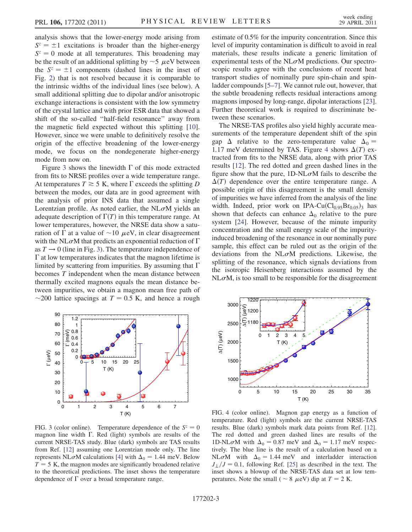analysis shows that the lower-energy mode arising from  $S^z = \pm 1$  excitations is broader than the higher-energy  $S<sup>z</sup> = 0$  mode at all temperatures. This broadening may be the result of an additional splitting by  $\sim$  5  $\mu$ eV between<br>the  $S^z = \pm 1$  components (dashed lines in the inset of the  $S^z = \pm 1$  components (dashed lines in the inset of Fig. [2](#page-1-1)) that is not resolved because it is comparable to the intrinsic widths of the individual lines (see below). A small additional splitting due to dipolar and/or anisotropic exchange interactions is consistent with the low symmetry of the crystal lattice and with prior ESR data that showed a shift of the so-called ''half-field resonance'' away from the magnetic field expected without this splitting [\[10\]](#page-3-6). However, since we were unable to definitively resolve the origin of the effective broadening of the lower-energy mode, we focus on the nondegenerate higher-energy mode from now on.

Figure [3](#page-2-0) shows the linewidth  $\Gamma$  of this mode extracted from fits to NRSE profiles over a wide temperature range. At temperatures  $T \ge 5$  K, where  $\Gamma$  exceeds the splitting D between the modes, our data are in good agreement with the analysis of prior INS data that assumed a single Lorentzian profile. As noted earlier, the NL $\sigma$ M yields an adequate description of  $\Gamma(T)$  in this temperature range. At lower temperatures, however, the NRSE data show a saturation of  $\Gamma$  at a value of  $\sim$ 10  $\mu$ eV, in clear disagreement<br>with the NL  $\sigma$ M that predicts an exponential reduction of  $\Gamma$ with the NL $\sigma$ M that predicts an exponential reduction of  $\Gamma$ as  $T \rightarrow 0$  (line in Fig. [3\)](#page-2-0). The temperature independence of  $\Gamma$  at low temperatures indicates that the magnon lifetime is limited by scattering from impurities. By assuming that  $\Gamma$ becomes T independent when the mean distance between thermally excited magnons equals the mean distance between impurities, we obtain a magnon mean free path of ~200 lattice spacings at  $T = 0.5$  K, and hence a rough

<span id="page-2-0"></span>

FIG. 3 (color online). Temperature dependence of the  $S^z = 0$ magnon line width  $\Gamma$ . Red (light) symbols are results of the current NRSE-TAS study. Blue (dark) symbols are TAS results from Ref. [\[12\]](#page-3-8) assuming one Lorentzian mode only. The line represents NL $\sigma$ M calculations [[4\]](#page-3-1) with  $\Delta_0 = 1.44$  meV. Below  $T = 5$  K, the magnon modes are significantly broadened relative to the theoretical predictions. The inset shows the temperature dependence of  $\Gamma$  over a broad temperature range.

estimate of 0.5% for the impurity concentration. Since this level of impurity contamination is difficult to avoid in real materials, these results indicate a generic limitation of experimental tests of the NL $\sigma$ M predictions. Our spectroscopic results agree with the conclusions of recent heat transport studies of nominally pure spin-chain and spinladder compounds [\[5–](#page-3-2)[7](#page-3-3)]. We cannot rule out, however, that the subtle broadening reflects residual interactions among magnons imposed by long-range, dipolar interactions [[23\]](#page-3-19). Further theoretical work is required to discriminate between these scenarios.

The NRSE-TAS profiles also yield highly accurate measurements of the temperature dependent shift of the spin gap  $\Delta$  relative to the zero-temperature value  $\Delta_0 =$ 1.17 meV determined by TAS. Figure [4](#page-2-1) shows  $\Delta(T)$  extracted from fits to the NRSE data, along with prior TAS results [\[12\]](#page-3-8). The red dotted and green dashed lines in the figure show that the pure,  $1D-NL\sigma M$  fails to describe the  $\Delta(T)$  dependence over the entire temperature range. A possible origin of this disagreement is the small density of impurities we have inferred from the analysis of the line width. Indeed, prior work on IPA-Cu $(Cl_{0.95}Br_{0.05})_3$  has shown that defects can enhance  $\Delta_0$  relative to the pure system [[24](#page-3-20)]. However, because of the minute impurity concentration and the small energy scale of the impurityinduced broadening of the resonance in our nominally pure sample, this effect can be ruled out as the origin of the deviations from the NL $\sigma$ M predictions. Likewise, the splitting of the resonance, which signals deviations from the isotropic Heisenberg interactions assumed by the  $N<sub>L</sub> \sigma M$ , is too small to be responsible for the disagreement

<span id="page-2-1"></span>

FIG. 4 (color online). Magnon gap energy as a function of temperature. Red (light) symbols are the current NRSE-TAS results. Blue (dark) symbols mark data points from Ref. [\[12\]](#page-3-8). The red dotted and green dashed lines are results of the 1D-NL $\sigma$ M with  $\Delta_0 = 0.87$  meV and  $\Delta_0 = 1.17$  meV respectively. The blue line is the result of a calculation based on a NL $\sigma$ M with  $\Delta_0 = 1.44$  meV and interladder interaction  $J_{\perp}/J = 0.1$ , following Ref. [[25](#page-3-21)] as described in the text. The inset shows a blowup of the NRSE-TAS data set at low temperatures. Note the small ( $\sim 8 \ \mu \text{eV}$ ) dip at  $T = 2 \text{ K}$ .